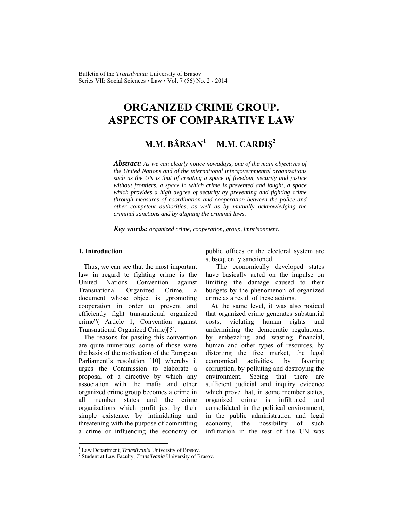Bulletin of the *Transilvania* University of Braşov Series VII: Social Sciences • Law • Vol. 7 (56) No. 2 - 2014

# **ORGANIZED CRIME GROUP. ASPECTS OF COMPARATIVE LAW**

#### **M.M. BÂRSAN<sup>1</sup> M.M. CARDIŞ<sup>2</sup>**

*Abstract: As we can clearly notice nowadays, one of the main objectives of the United Nations and of the international intergovernmental organizations such as the UN is that of creating a space of freedom, security and justice without frontiers, a space in which crime is prevented and fought, a space which provides a high degree of security by preventing and fighting crime through measures of coordination and cooperation between the police and other competent authorities, as well as by mutually acknowledging the criminal sanctions and by aligning the criminal laws.* 

*Key words: organized crime, cooperation, group, imprisonment.* 

## **1. Introduction**

 $\overline{\phantom{a}}$ 

Thus, we can see that the most important law in regard to fighting crime is the United Nations Convention against Transnational Organized Crime, a document whose object is "promoting cooperation in order to prevent and efficiently fight transnational organized crime"( Article 1, Convention against Transnational Organized Crime)[5].

The reasons for passing this convention are quite numerous: some of those were the basis of the motivation of the European Parliament's resolution [10] whereby it urges the Commission to elaborate a proposal of a directive by which any association with the mafia and other organized crime group becomes a crime in all member states and the crime organizations which profit just by their simple existence, by intimidating and threatening with the purpose of committing a crime or influencing the economy or

public offices or the electoral system are subsequently sanctioned.

 The economically developed states have basically acted on the impulse on limiting the damage caused to their budgets by the phenomenon of organized crime as a result of these actions.

At the same level, it was also noticed that organized crime generates substantial costs, violating human rights and undermining the democratic regulations, by embezzling and wasting financial, human and other types of resources, by distorting the free market, the legal economical activities, by favoring corruption, by polluting and destroying the environment. Seeing that there are sufficient judicial and inquiry evidence which prove that, in some member states, organized crime is infiltrated and consolidated in the political environment, in the public administration and legal economy, the possibility of such infiltration in the rest of the UN was

<sup>&</sup>lt;sup>1</sup> Law Department, *Transilvania* University of Braşov.<br><sup>2</sup> Student at Law Fosulty, *Transilvania* University of B-

Student at Law Faculty, *Transilvania* University of Brasov.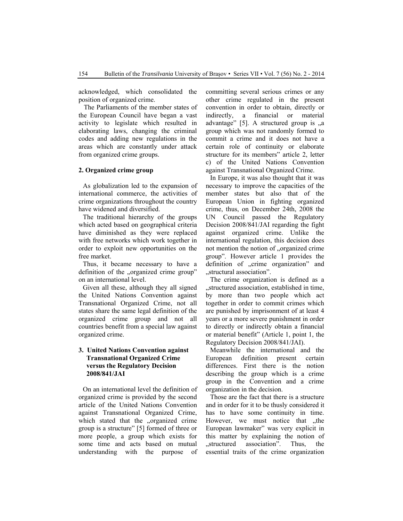acknowledged, which consolidated the position of organized crime.

The Parliaments of the member states of the European Council have began a vast activity to legislate which resulted in elaborating laws, changing the criminal codes and adding new regulations in the areas which are constantly under attack from organized crime groups.

# **2. Organized crime group**

As globalization led to the expansion of international commerce, the activities of crime organizations throughout the country have widened and diversified.

The traditional hierarchy of the groups which acted based on geographical criteria have diminished as they were replaced with free networks which work together in order to exploit new opportunities on the free market.

Thus, it became necessary to have a definition of the "organized crime group" on an international level.

Given all these, although they all signed the United Nations Convention against Transnational Organized Crime, not all states share the same legal definition of the organized crime group and not all countries benefit from a special law against organized crime.

# **3. United Nations Convention against Transnational Organized Crime versus the Regulatory Decision 2008/841/JAI**

On an international level the definition of organized crime is provided by the second article of the United Nations Convention against Transnational Organized Crime, which stated that the "organized crime group is a structure" [5] formed of three or more people, a group which exists for some time and acts based on mutual understanding with the purpose of committing several serious crimes or any other crime regulated in the present convention in order to obtain, directly or indirectly, a financial or material advantage"  $[5]$ . A structured group is  $\alpha$ group which was not randomly formed to commit a crime and it does not have a certain role of continuity or elaborate structure for its members" article 2, letter c) of the United Nations Convention against Transnational Organized Crime.

In Europe, it was also thought that it was necessary to improve the capacities of the member states but also that of the European Union in fighting organized crime, thus, on December 24th, 2008 the UN Council passed the Regulatory Decision 2008/841/JAI regarding the fight against organized crime. Unlike the international regulation, this decision does not mention the notion of "organized crime group". However article 1 provides the definition of "crime organization" and "structural association".

The crime organization is defined as a "structured association, established in time, by more than two people which act together in order to commit crimes which are punished by imprisonment of at least 4 years or a more severe punishment in order to directly or indirectly obtain a financial or material benefit" (Article 1, point 1, the Regulatory Decision 2008/841/JAI).

Meanwhile the international and the European definition present certain differences. First there is the notion describing the group which is a crime group in the Convention and a crime organization in the decision.

Those are the fact that there is a structure and in order for it to be thusly considered it has to have some continuity in time. However, we must notice that the European lawmaker" was very explicit in this matter by explaining the notion of "structured association". Thus, the essential traits of the crime organization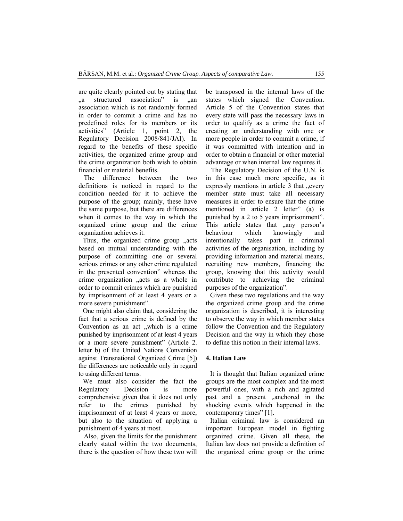are quite clearly pointed out by stating that a structured association" is an association which is not randomly formed in order to commit a crime and has no predefined roles for its members or its activities" (Article 1, point 2, the Regulatory Decision 2008/841/JAI). In regard to the benefits of these specific activities, the organized crime group and the crime organization both wish to obtain financial or material benefits.

 The difference between the two definitions is noticed in regard to the condition needed for it to achieve the purpose of the group; mainly, these have the same purpose, but there are differences when it comes to the way in which the organized crime group and the crime organization achieves it.

Thus, the organized crime group , acts based on mutual understanding with the purpose of committing one or several serious crimes or any other crime regulated in the presented convention" whereas the crime organization ..acts as a whole in order to commit crimes which are punished by imprisonment of at least 4 years or a more severe punishment".

One might also claim that, considering the fact that a serious crime is defined by the Convention as an act "which is a crime punished by imprisonment of at least 4 years or a more severe punishment" (Article 2. letter b) of the United Nations Convention against Transnational Organized Crime [5]) the differences are noticeable only in regard to using different terms.

We must also consider the fact the Regulatory Decision is more comprehensive given that it does not only refer to the crimes punished by imprisonment of at least 4 years or more, but also to the situation of applying a punishment of 4 years at most.

 Also, given the limits for the punishment clearly stated within the two documents, there is the question of how these two will be transposed in the internal laws of the states which signed the Convention. Article 5 of the Convention states that every state will pass the necessary laws in order to qualify as a crime the fact of creating an understanding with one or more people in order to commit a crime, if it was committed with intention and in order to obtain a financial or other material advantage or when internal law requires it.

 The Regulatory Decision of the U.N. is in this case much more specific, as it expressly mentions in article 3 that ..every member state must take all necessary measures in order to ensure that the crime mentioned in article 2 letter" (a) is punished by a 2 to 5 years imprisonment". This article states that "any person's behaviour which knowingly and intentionally takes part in criminal activities of the organisation, including by providing information and material means, recruiting new members, financing the group, knowing that this activity would contribute to achieving the criminal purposes of the organization".

Given these two regulations and the way the organized crime group and the crime organization is described, it is interesting to observe the way in which member states follow the Convention and the Regulatory Decision and the way in which they chose to define this notion in their internal laws.

### **4. Italian Law**

It is thought that Italian organized crime groups are the most complex and the most powerful ones, with a rich and agitated past and a present "anchored in the shocking events which happened in the contemporary times" [1].

Italian criminal law is considered an important European model in fighting organized crime. Given all these, the Italian law does not provide a definition of the organized crime group or the crime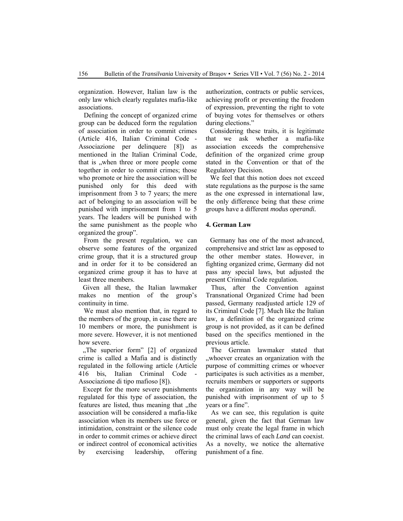organization. However, Italian law is the only law which clearly regulates mafia-like associations.

 Defining the concept of organized crime group can be deduced form the regulation of association in order to commit crimes (Article 416, Italian Criminal Code - Associazione per delinquere [8]) as mentioned in the Italian Criminal Code, that is "when three or more people come together in order to commit crimes; those who promote or hire the association will be punished only for this deed with imprisonment from 3 to 7 years; the mere act of belonging to an association will be punished with imprisonment from 1 to 5 years. The leaders will be punished with the same punishment as the people who organized the group".

 From the present regulation, we can observe some features of the organized crime group, that it is a structured group and in order for it to be considered an organized crime group it has to have at least three members.

Given all these, the Italian lawmaker makes no mention of the group's continuity in time.

 We must also mention that, in regard to the members of the group, in case there are 10 members or more, the punishment is more severe. However, it is not mentioned how severe.

"The superior form" [2] of organized crime is called a Mafia and is distinctly regulated in the following article (Article 416 bis, Italian Criminal Code - Associazione di tipo mafioso [8]).

Except for the more severe punishments regulated for this type of association, the features are listed, thus meaning that , the association will be considered a mafia-like association when its members use force or intimidation, constraint or the silence code in order to commit crimes or achieve direct or indirect control of economical activities by exercising leadership, offering authorization, contracts or public services, achieving profit or preventing the freedom of expression, preventing the right to vote of buying votes for themselves or others during elections."

Considering these traits, it is legitimate that we ask whether a mafia-like association exceeds the comprehensive definition of the organized crime group stated in the Convention or that of the Regulatory Decision.

We feel that this notion does not exceed state regulations as the purpose is the same as the one expressed in international law, the only difference being that these crime groups have a different *modus operandi.* 

# **4. German Law**

Germany has one of the most advanced, comprehensive and strict law as opposed to the other member states. However, in fighting organized crime, Germany did not pass any special laws, but adjusted the present Criminal Code regulation.

 Thus, after the Convention against Transnational Organized Crime had been passed, Germany readjusted article 129 of its Criminal Code [7]. Much like the Italian law, a definition of the organized crime group is not provided, as it can be defined based on the specifics mentioned in the previous article.

 The German lawmaker stated that ", whoever creates an organization with the purpose of committing crimes or whoever participates is such activities as a member, recruits members or supporters or supports the organization in any way will be punished with imprisonment of up to 5 years or a fine".

 As we can see, this regulation is quite general, given the fact that German law must only create the legal frame in which the criminal laws of each *Land* can coexist. As a novelty, we notice the alternative punishment of a fine.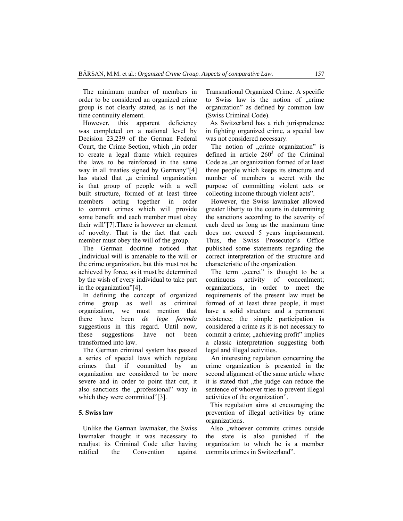The minimum number of members in order to be considered an organized crime group is not clearly stated, as is not the time continuity element.

However, this apparent deficiency was completed on a national level by Decision 23,239 of the German Federal Court, the Crime Section, which "in order to create a legal frame which requires the laws to be reinforced in the same way in all treaties signed by Germany"[4] has stated that "a criminal organization is that group of people with a well built structure, formed of at least three members acting together in order to commit crimes which will provide some benefit and each member must obey their will"[7].There is however an element of novelty. That is the fact that each member must obey the will of the group.

The German doctrine noticed that ... individual will is amenable to the will or the crime organization, but this must not be achieved by force, as it must be determined by the wish of every individual to take part in the organization"[4].

In defining the concept of organized crime group as well as criminal organization, we must mention that there have been *de lege ferenda* suggestions in this regard. Until now, these suggestions have not been transformed into law.

The German criminal system has passed a series of special laws which regulate crimes that if committed by an organization are considered to be more severe and in order to point that out, it also sanctions the "professional" way in which they were committed"[3].

# **5. Swiss law**

Unlike the German lawmaker, the Swiss lawmaker thought it was necessary to readjust its Criminal Code after having ratified the Convention against Transnational Organized Crime. A specific to Swiss law is the notion of ...crime organization" as defined by common law (Swiss Criminal Code).

As Switzerland has a rich jurisprudence in fighting organized crime, a special law was not considered necessary.

The notion of "crime organization" is defined in article  $260^3$  of the Criminal Code as ,,an organization formed of at least three people which keeps its structure and number of members a secret with the purpose of committing violent acts or collecting income through violent acts".

 However, the Swiss lawmaker allowed greater liberty to the courts in determining the sanctions according to the severity of each deed as long as the maximum time does not exceed 5 years imprisonment. Thus, the Swiss Prosecutor's Office published some statements regarding the correct interpretation of the structure and characteristic of the organization.

The term "secret" is thought to be a continuous activity of concealment; organizations, in order to meet the requirements of the present law must be formed of at least three people, it must have a solid structure and a permanent existence; the simple participation is considered a crime as it is not necessary to commit a crime; "achieving profit" implies a classic interpretation suggesting both legal and illegal activities.

 An interesting regulation concerning the crime organization is presented in the second alignment of the same article where it is stated that , the judge can reduce the sentence of whoever tries to prevent illegal activities of the organization".

This regulation aims at encouraging the prevention of illegal activities by crime organizations.

Also "whoever commits crimes outside the state is also punished if the organization to which he is a member commits crimes in Switzerland".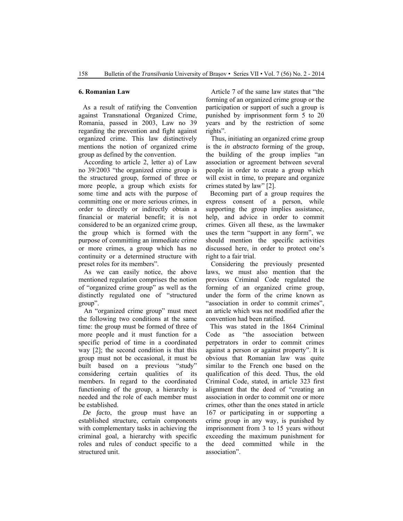#### **6. Romanian Law**

As a result of ratifying the Convention against Transnational Organized Crime, Romania, passed in 2003, Law no 39 regarding the prevention and fight against organized crime. This law distinctively mentions the notion of organized crime group as defined by the convention.

 According to article 2, letter a) of Law no 39/2003 "the organized crime group is the structured group, formed of three or more people, a group which exists for some time and acts with the purpose of committing one or more serious crimes, in order to directly or indirectly obtain a financial or material benefit; it is not considered to be an organized crime group, the group which is formed with the purpose of committing an immediate crime or more crimes, a group which has no continuity or a determined structure with preset roles for its members".

 As we can easily notice, the above mentioned regulation comprises the notion of "organized crime group" as well as the distinctly regulated one of "structured group".

 An "organized crime group" must meet the following two conditions at the same time: the group must be formed of three of more people and it must function for a specific period of time in a coordinated way [2]; the second condition is that this group must not be occasional, it must be built based on a previous "study" considering certain qualities of its members. In regard to the coordinated functioning of the group, a hierarchy is needed and the role of each member must be established.

*De facto*, the group must have an established structure, certain components with complementary tasks in achieving the criminal goal, a hierarchy with specific roles and rules of conduct specific to a structured unit.

 Article 7 of the same law states that "the forming of an organized crime group or the participation or support of such a group is punished by imprisonment form 5 to 20 years and by the restriction of some rights".

 Thus, initiating an organized crime group is the *in abstracto* forming of the group, the building of the group implies "an association or agreement between several people in order to create a group which will exist in time, to prepare and organize crimes stated by law" [2].

Becoming part of a group requires the express consent of a person, while supporting the group implies assistance, help, and advice in order to commit crimes. Given all these, as the lawmaker uses the term "support in any form", we should mention the specific activities discussed here, in order to protect one's right to a fair trial.

 Considering the previously presented laws, we must also mention that the previous Criminal Code regulated the forming of an organized crime group, under the form of the crime known as "association in order to commit crimes", an article which was not modified after the convention had been ratified.

This was stated in the 1864 Criminal Code as "the association between perpetrators in order to commit crimes against a person or against property". It is obvious that Romanian law was quite similar to the French one based on the qualification of this deed. Thus, the old Criminal Code, stated, in article 323 first alignment that the deed of "creating an association in order to commit one or more crimes, other than the ones stated in article 167 or participating in or supporting a crime group in any way, is punished by imprisonment from 3 to 15 years without exceeding the maximum punishment for the deed committed while in the association".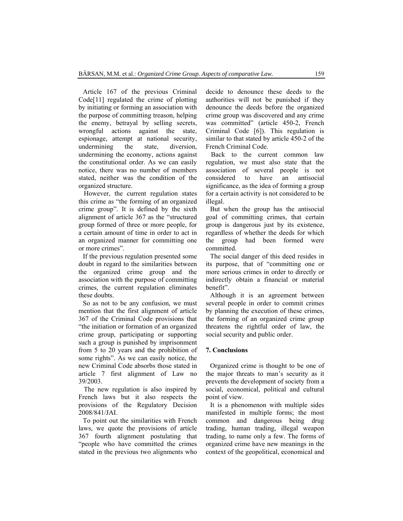Article 167 of the previous Criminal Code[11] regulated the crime of plotting by initiating or forming an association with the purpose of committing treason, helping the enemy, betrayal by selling secrets, wrongful actions against the state, espionage, attempt at national security, undermining the state, diversion, undermining the economy, actions against the constitutional order. As we can easily notice, there was no number of members stated, neither was the condition of the organized structure.

 However, the current regulation states this crime as "the forming of an organized crime group". It is defined by the sixth alignment of article 367 as the "structured group formed of three or more people, for a certain amount of time in order to act in an organized manner for committing one or more crimes".

If the previous regulation presented some doubt in regard to the similarities between the organized crime group and the association with the purpose of committing crimes, the current regulation eliminates these doubts.

So as not to be any confusion, we must mention that the first alignment of article 367 of the Criminal Code provisions that "the initiation or formation of an organized crime group, participating or supporting such a group is punished by imprisonment from 5 to 20 years and the prohibition of some rights". As we can easily notice, the new Criminal Code absorbs those stated in article 7 first alignment of Law no 39/2003.

 The new regulation is also inspired by French laws but it also respects the provisions of the Regulatory Decision 2008/841/JAI.

To point out the similarities with French laws, we quote the provisions of article 367 fourth alignment postulating that "people who have committed the crimes stated in the previous two alignments who decide to denounce these deeds to the authorities will not be punished if they denounce the deeds before the organized crime group was discovered and any crime was committed" (article 450-2, French Criminal Code [6]). This regulation is similar to that stated by article 450-2 of the French Criminal Code.

 Back to the current common law regulation, we must also state that the association of several people is not considered to have an antisocial significance, as the idea of forming a group for a certain activity is not considered to be illegal.

But when the group has the antisocial goal of committing crimes, that certain group is dangerous just by its existence, regardless of whether the deeds for which the group had been formed were committed.

The social danger of this deed resides in its purpose, that of "committing one or more serious crimes in order to directly or indirectly obtain a financial or material benefit".

Although it is an agreement between several people in order to commit crimes by planning the execution of these crimes, the forming of an organized crime group threatens the rightful order of law, the social security and public order.

#### **7. Conclusions**

Organized crime is thought to be one of the major threats to man's security as it prevents the development of society from a social, economical, political and cultural point of view.

It is a phenomenon with multiple sides manifested in multiple forms; the most common and dangerous being drug trading, human trading, illegal weapon trading, to name only a few. The forms of organized crime have new meanings in the context of the geopolitical, economical and